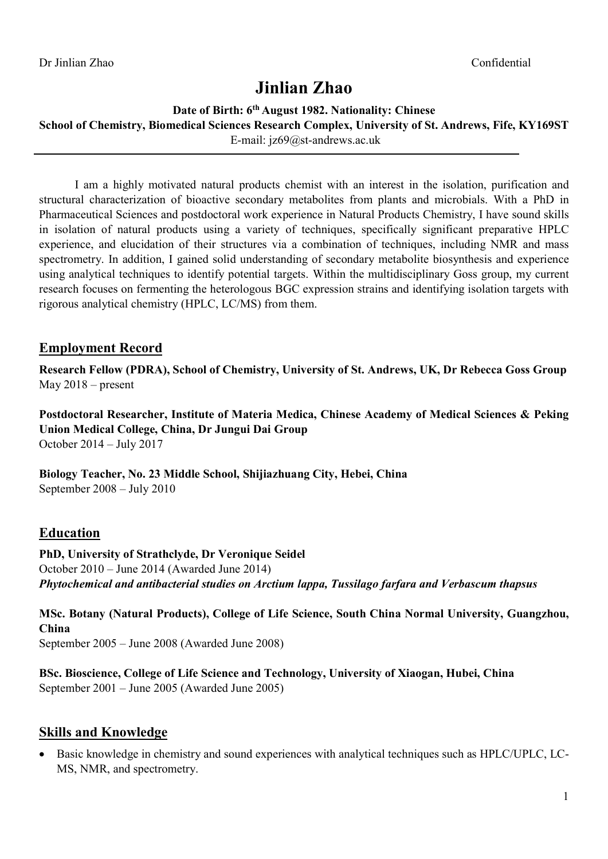# Jinlian Zhao

#### Date of Birth: 6<sup>th</sup> August 1982. Nationality: Chinese

School of Chemistry, Biomedical Sciences Research Complex, University of St. Andrews, Fife, KY169ST

E-mail: jz69@st-andrews.ac.uk

I am a highly motivated natural products chemist with an interest in the isolation, purification and structural characterization of bioactive secondary metabolites from plants and microbials. With a PhD in Pharmaceutical Sciences and postdoctoral work experience in Natural Products Chemistry, I have sound skills in isolation of natural products using a variety of techniques, specifically significant preparative HPLC experience, and elucidation of their structures via a combination of techniques, including NMR and mass spectrometry. In addition, I gained solid understanding of secondary metabolite biosynthesis and experience using analytical techniques to identify potential targets. Within the multidisciplinary Goss group, my current research focuses on fermenting the heterologous BGC expression strains and identifying isolation targets with rigorous analytical chemistry (HPLC, LC/MS) from them.

## Employment Record

Research Fellow (PDRA), School of Chemistry, University of St. Andrews, UK, Dr Rebecca Goss Group May 2018 – present

Postdoctoral Researcher, Institute of Materia Medica, Chinese Academy of Medical Sciences & Peking Union Medical College, China, Dr Jungui Dai Group October 2014 – July 2017

Biology Teacher, No. 23 Middle School, Shijiazhuang City, Hebei, China September 2008 – July 2010

# Education

PhD, University of Strathclyde, Dr Veronique Seidel October 2010 – June 2014 (Awarded June 2014) Phytochemical and antibacterial studies on Arctium lappa, Tussilago farfara and Verbascum thapsus

MSc. Botany (Natural Products), College of Life Science, South China Normal University, Guangzhou, China September 2005 – June 2008 (Awarded June 2008)

BSc. Bioscience, College of Life Science and Technology, University of Xiaogan, Hubei, China September 2001 – June 2005 (Awarded June 2005)

### Skills and Knowledge

 Basic knowledge in chemistry and sound experiences with analytical techniques such as HPLC/UPLC, LC-MS, NMR, and spectrometry.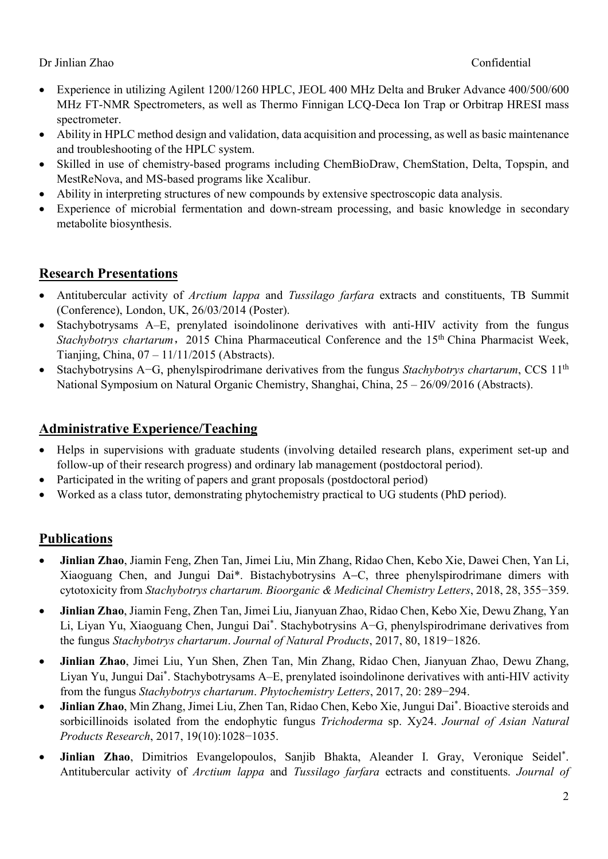#### Dr Jinlian Zhao Confidential

- Experience in utilizing Agilent 1200/1260 HPLC, JEOL 400 MHz Delta and Bruker Advance 400/500/600 MHz FT-NMR Spectrometers, as well as Thermo Finnigan LCQ-Deca Ion Trap or Orbitrap HRESI mass spectrometer.
- Ability in HPLC method design and validation, data acquisition and processing, as well as basic maintenance and troubleshooting of the HPLC system.
- Skilled in use of chemistry-based programs including ChemBioDraw, ChemStation, Delta, Topspin, and MestReNova, and MS-based programs like Xcalibur.
- Ability in interpreting structures of new compounds by extensive spectroscopic data analysis.
- Experience of microbial fermentation and down-stream processing, and basic knowledge in secondary metabolite biosynthesis.

# Research Presentations

- Antitubercular activity of *Arctium lappa* and *Tussilago farfara* extracts and constituents, TB Summit (Conference), London, UK, 26/03/2014 (Poster).
- Stachybotrysams A–E, prenylated isoindolinone derivatives with anti-HIV activity from the fungus Stachybotrys chartarum, 2015 China Pharmaceutical Conference and the 15<sup>th</sup> China Pharmacist Week, Tianjing, China, 07 – 11/11/2015 (Abstracts).
- Stachybotrysins A–G, phenylspirodrimane derivatives from the fungus Stachybotrys chartarum, CCS 11<sup>th</sup> National Symposium on Natural Organic Chemistry, Shanghai, China, 25 – 26/09/2016 (Abstracts).

## Administrative Experience/Teaching

- Helps in supervisions with graduate students (involving detailed research plans, experiment set-up and follow-up of their research progress) and ordinary lab management (postdoctoral period).
- Participated in the writing of papers and grant proposals (postdoctoral period)
- Worked as a class tutor, demonstrating phytochemistry practical to UG students (PhD period).

# Publications

- Jinlian Zhao, Jiamin Feng, Zhen Tan, Jimei Liu, Min Zhang, Ridao Chen, Kebo Xie, Dawei Chen, Yan Li, Xiaoguang Chen, and Jungui Dai\*. Bistachybotrysins A–C, three phenylspirodrimane dimers with cytotoxicity from Stachybotrys chartarum. Bioorganic & Medicinal Chemistry Letters, 2018, 28, 355−359.
- Jinlian Zhao, Jiamin Feng, Zhen Tan, Jimei Liu, Jianyuan Zhao, Ridao Chen, Kebo Xie, Dewu Zhang, Yan Li, Liyan Yu, Xiaoguang Chen, Jungui Dai\* . Stachybotrysins A−G, phenylspirodrimane derivatives from the fungus Stachybotrys chartarum. Journal of Natural Products, 2017, 80, 1819−1826.
- Jinlian Zhao, Jimei Liu, Yun Shen, Zhen Tan, Min Zhang, Ridao Chen, Jianyuan Zhao, Dewu Zhang, Liyan Yu, Jungui Dai\* . Stachybotrysams A–E, prenylated isoindolinone derivatives with anti-HIV activity from the fungus Stachybotrys chartarum. Phytochemistry Letters, 2017, 20: 289−294.
- Jinlian Zhao, Min Zhang, Jimei Liu, Zhen Tan, Ridao Chen, Kebo Xie, Jungui Dai\* . Bioactive steroids and sorbicillinoids isolated from the endophytic fungus *Trichoderma* sp. Xy24. Journal of Asian Natural Products Research, 2017, 19(10):1028−1035.
- Jinlian Zhao, Dimitrios Evangelopoulos, Sanjib Bhakta, Aleander I. Gray, Veronique Seidel\* . Antitubercular activity of Arctium lappa and Tussilago farfara ectracts and constituents. Journal of